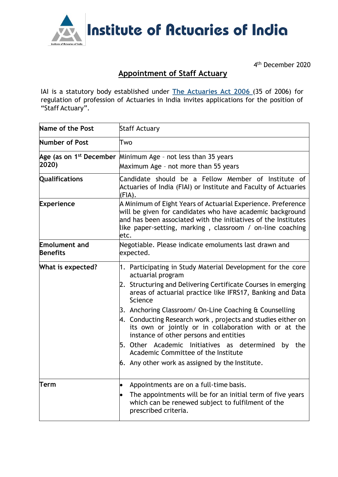

4 th December 2020

## **Appointment of Staff Actuary**

IAI is a statutory body established under **The [Actuaries](http://www.actuariesindia.org/guidance/scanned%20GN.pdf) Act 2006** (35 of 2006) for regulation of profession of Actuaries in India invites applications for the position of "Staff Actuary".

| Name of the Post                        | <b>Staff Actuary</b>                                                                                                                                                                                                                                                                                                                                                                                                                                                                                                                                                                                       |
|-----------------------------------------|------------------------------------------------------------------------------------------------------------------------------------------------------------------------------------------------------------------------------------------------------------------------------------------------------------------------------------------------------------------------------------------------------------------------------------------------------------------------------------------------------------------------------------------------------------------------------------------------------------|
| Number of Post                          | Two                                                                                                                                                                                                                                                                                                                                                                                                                                                                                                                                                                                                        |
| 2020)                                   | Age (as on 1 <sup>st</sup> December Minimum Age - not less than 35 years<br>Maximum Age - not more than 55 years                                                                                                                                                                                                                                                                                                                                                                                                                                                                                           |
| <b>Qualifications</b>                   | Candidate should be a Fellow Member of Institute of<br>Actuaries of India (FIAI) or Institute and Faculty of Actuaries<br>(FIA).                                                                                                                                                                                                                                                                                                                                                                                                                                                                           |
| <b>Experience</b>                       | A Minimum of Eight Years of Actuarial Experience. Preference<br>will be given for candidates who have academic background<br>and has been associated with the initiatives of the Institutes<br>like paper-setting, marking, classroom / on-line coaching<br>etc.                                                                                                                                                                                                                                                                                                                                           |
| <b>Emolument and</b><br><b>Benefits</b> | Negotiable. Please indicate emoluments last drawn and<br>expected.                                                                                                                                                                                                                                                                                                                                                                                                                                                                                                                                         |
| What is expected?                       | 1. Participating in Study Material Development for the core<br>actuarial program<br>2. Structuring and Delivering Certificate Courses in emerging<br>areas of actuarial practice like IFRS17, Banking and Data<br>Science<br>3. Anchoring Classroom/ On-Line Coaching & Counselling<br>4. Conducting Research work, projects and studies either on<br>its own or jointly or in collaboration with or at the<br>instance of other persons and entities<br>5. Other Academic Initiatives as determined<br>by the<br>Academic Committee of the Institute<br>$6.$ Any other work as assigned by the Institute. |
| Term                                    | Appointments are on a full-time basis.<br>The appointments will be for an initial term of five years<br>which can be renewed subject to fulfilment of the<br>prescribed criteria.                                                                                                                                                                                                                                                                                                                                                                                                                          |